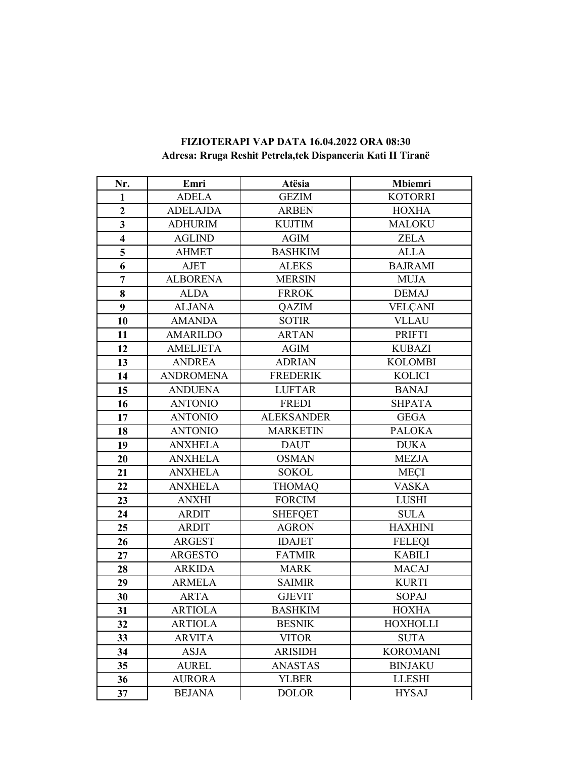| Nr.                     | Emri             | Atësia            | Mbiemri         |
|-------------------------|------------------|-------------------|-----------------|
| $\mathbf{1}$            | <b>ADELA</b>     | <b>GEZIM</b>      | <b>KOTORRI</b>  |
| $\overline{2}$          | <b>ADELAJDA</b>  | <b>ARBEN</b>      | <b>HOXHA</b>    |
| $\overline{\mathbf{3}}$ | <b>ADHURIM</b>   | <b>KUJTIM</b>     | <b>MALOKU</b>   |
| $\overline{\mathbf{4}}$ | <b>AGLIND</b>    | <b>AGIM</b>       | <b>ZELA</b>     |
| 5                       | <b>AHMET</b>     | <b>BASHKIM</b>    | <b>ALLA</b>     |
| 6                       | <b>AJET</b>      | <b>ALEKS</b>      | <b>BAJRAMI</b>  |
| $\overline{7}$          | <b>ALBORENA</b>  | <b>MERSIN</b>     | <b>MUJA</b>     |
| 8                       | <b>ALDA</b>      | <b>FRROK</b>      | <b>DEMAJ</b>    |
| 9                       | <b>ALJANA</b>    | QAZIM             | <b>VELÇANI</b>  |
| 10                      | <b>AMANDA</b>    | <b>SOTIR</b>      | <b>VLLAU</b>    |
| 11                      | <b>AMARILDO</b>  | <b>ARTAN</b>      | <b>PRIFTI</b>   |
| 12                      | <b>AMELJETA</b>  | <b>AGIM</b>       | <b>KUBAZI</b>   |
| 13                      | <b>ANDREA</b>    | <b>ADRIAN</b>     | <b>KOLOMBI</b>  |
| 14                      | <b>ANDROMENA</b> | <b>FREDERIK</b>   | <b>KOLICI</b>   |
| 15                      | <b>ANDUENA</b>   | <b>LUFTAR</b>     | <b>BANAJ</b>    |
| 16                      | <b>ANTONIO</b>   | <b>FREDI</b>      | <b>SHPATA</b>   |
| 17                      | <b>ANTONIO</b>   | <b>ALEKSANDER</b> | <b>GEGA</b>     |
| 18                      | <b>ANTONIO</b>   | <b>MARKETIN</b>   | <b>PALOKA</b>   |
| 19                      | <b>ANXHELA</b>   | <b>DAUT</b>       | <b>DUKA</b>     |
| 20                      | <b>ANXHELA</b>   | <b>OSMAN</b>      | <b>MEZJA</b>    |
| 21                      | <b>ANXHELA</b>   | <b>SOKOL</b>      | <b>MEÇI</b>     |
| 22                      | <b>ANXHELA</b>   | <b>THOMAQ</b>     | <b>VASKA</b>    |
| 23                      | <b>ANXHI</b>     | <b>FORCIM</b>     | <b>LUSHI</b>    |
| 24                      | <b>ARDIT</b>     | <b>SHEFQET</b>    | <b>SULA</b>     |
| 25                      | <b>ARDIT</b>     | <b>AGRON</b>      | <b>HAXHINI</b>  |
| 26                      | <b>ARGEST</b>    | <b>IDAJET</b>     | <b>FELEQI</b>   |
| 27                      | <b>ARGESTO</b>   | <b>FATMIR</b>     | <b>KABILI</b>   |
| 28                      | <b>ARKIDA</b>    | <b>MARK</b>       | <b>MACAJ</b>    |
| 29                      | <b>ARMELA</b>    | <b>SAIMIR</b>     | <b>KURTI</b>    |
| 30                      | <b>ARTA</b>      | <b>GJEVIT</b>     | SOPAJ           |
| 31                      | <b>ARTIOLA</b>   | <b>BASHKIM</b>    | <b>HOXHA</b>    |
| 32                      | <b>ARTIOLA</b>   | <b>BESNIK</b>     | <b>HOXHOLLI</b> |
| 33                      | <b>ARVITA</b>    | <b>VITOR</b>      | <b>SUTA</b>     |
| 34                      | <b>ASJA</b>      | <b>ARISIDH</b>    | <b>KOROMANI</b> |
| 35                      | <b>AUREL</b>     | <b>ANASTAS</b>    | <b>BINJAKU</b>  |
| 36                      | <b>AURORA</b>    | <b>YLBER</b>      | <b>LLESHI</b>   |
| 37                      | <b>BEJANA</b>    | <b>DOLOR</b>      | <b>HYSAJ</b>    |

## **FIZIOTERAPI VAP DATA 16.04.2022 ORA 08:30 Adresa: Rruga Reshit Petrela,tek Dispanceria Kati II Tiranë**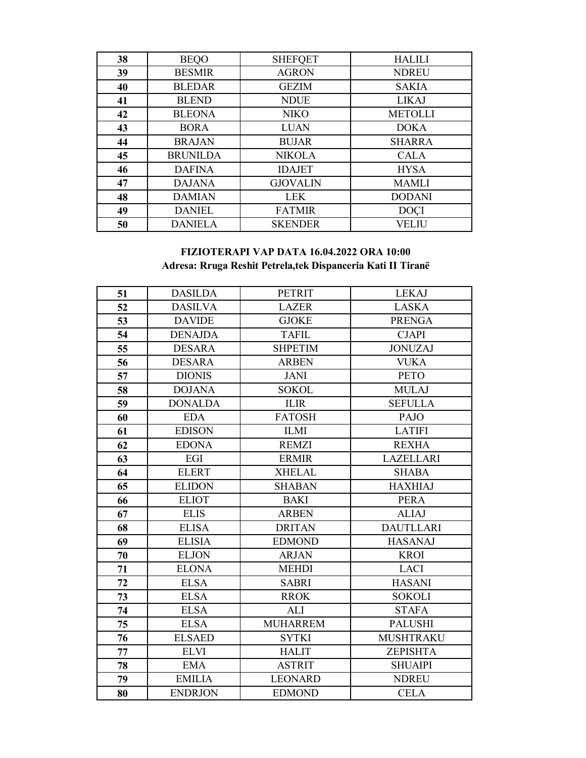| 38 | <b>BEQO</b>     | <b>SHEFQET</b>  | <b>HALILI</b>  |
|----|-----------------|-----------------|----------------|
| 39 | <b>BESMIR</b>   | <b>AGRON</b>    | <b>NDREU</b>   |
| 40 | <b>BLEDAR</b>   | <b>GEZIM</b>    | <b>SAKIA</b>   |
| 41 | <b>BLEND</b>    | <b>NDUE</b>     | <b>LIKAJ</b>   |
| 42 | <b>BLEONA</b>   | <b>NIKO</b>     | <b>METOLLI</b> |
| 43 | <b>BORA</b>     | <b>LUAN</b>     | <b>DOKA</b>    |
| 44 | <b>BRAJAN</b>   | <b>BUJAR</b>    | <b>SHARRA</b>  |
| 45 | <b>BRUNILDA</b> | <b>NIKOLA</b>   | <b>CALA</b>    |
| 46 | <b>DAFINA</b>   | <b>IDAJET</b>   | <b>HYSA</b>    |
| 47 | <b>DAJANA</b>   | <b>GJOVALIN</b> | <b>MAMLI</b>   |
| 48 | <b>DAMIAN</b>   | <b>LEK</b>      | <b>DODANI</b>  |
| 49 | <b>DANIEL</b>   | <b>FATMIR</b>   | <b>DOCI</b>    |
| 50 | <b>DANIELA</b>  | <b>SKENDER</b>  | <b>VELIU</b>   |

## **FIZIOTERAPI VAP DATA 16.04.2022 ORA 10:00 Adresa: Rruga Reshit Petrela,tek Dispanceria Kati II Tiranë**

| 51 | <b>DASILDA</b> | <b>PETRIT</b>   | <b>LEKAJ</b>     |
|----|----------------|-----------------|------------------|
| 52 | <b>DASILVA</b> | <b>LAZER</b>    | <b>LASKA</b>     |
| 53 | <b>DAVIDE</b>  | <b>GJOKE</b>    | <b>PRENGA</b>    |
| 54 | <b>DENAJDA</b> | <b>TAFIL</b>    | <b>CJAPI</b>     |
| 55 | <b>DESARA</b>  | <b>SHPETIM</b>  | <b>JONUZAJ</b>   |
| 56 | <b>DESARA</b>  | <b>ARBEN</b>    | <b>VUKA</b>      |
| 57 | <b>DIONIS</b>  | <b>JANI</b>     | <b>PETO</b>      |
| 58 | <b>DOJANA</b>  | <b>SOKOL</b>    | <b>MULAJ</b>     |
| 59 | <b>DONALDA</b> | <b>ILIR</b>     | <b>SEFULLA</b>   |
| 60 | <b>EDA</b>     | <b>FATOSH</b>   | <b>PAJO</b>      |
| 61 | <b>EDISON</b>  | <b>ILMI</b>     | <b>LATIFI</b>    |
| 62 | <b>EDONA</b>   | <b>REMZI</b>    | <b>REXHA</b>     |
| 63 | EGI            | <b>ERMIR</b>    | <b>LAZELLARI</b> |
| 64 | <b>ELERT</b>   | <b>XHELAL</b>   | <b>SHABA</b>     |
| 65 | <b>ELIDON</b>  | <b>SHABAN</b>   | <b>HAXHIAJ</b>   |
| 66 | <b>ELIOT</b>   | <b>BAKI</b>     | <b>PERA</b>      |
| 67 | <b>ELIS</b>    | <b>ARBEN</b>    | <b>ALIAJ</b>     |
| 68 | <b>ELISA</b>   | <b>DRITAN</b>   | <b>DAUTLLARI</b> |
| 69 | <b>ELISIA</b>  | <b>EDMOND</b>   | <b>HASANAJ</b>   |
| 70 | <b>ELJON</b>   | <b>ARJAN</b>    | <b>KROI</b>      |
| 71 | <b>ELONA</b>   | <b>MEHDI</b>    | <b>LACI</b>      |
| 72 | <b>ELSA</b>    | <b>SABRI</b>    | <b>HASANI</b>    |
| 73 | <b>ELSA</b>    | <b>RROK</b>     | <b>SOKOLI</b>    |
| 74 | <b>ELSA</b>    | <b>ALI</b>      | <b>STAFA</b>     |
| 75 | <b>ELSA</b>    | <b>MUHARREM</b> | <b>PALUSHI</b>   |
| 76 | <b>ELSAED</b>  | <b>SYTKI</b>    | <b>MUSHTRAKU</b> |
| 77 | <b>ELVI</b>    | <b>HALIT</b>    | ZEPISHTA         |
| 78 | <b>EMA</b>     | <b>ASTRIT</b>   | <b>SHUAIPI</b>   |
| 79 | <b>EMILIA</b>  | <b>LEONARD</b>  | <b>NDREU</b>     |
| 80 | <b>ENDRJON</b> | <b>EDMOND</b>   | <b>CELA</b>      |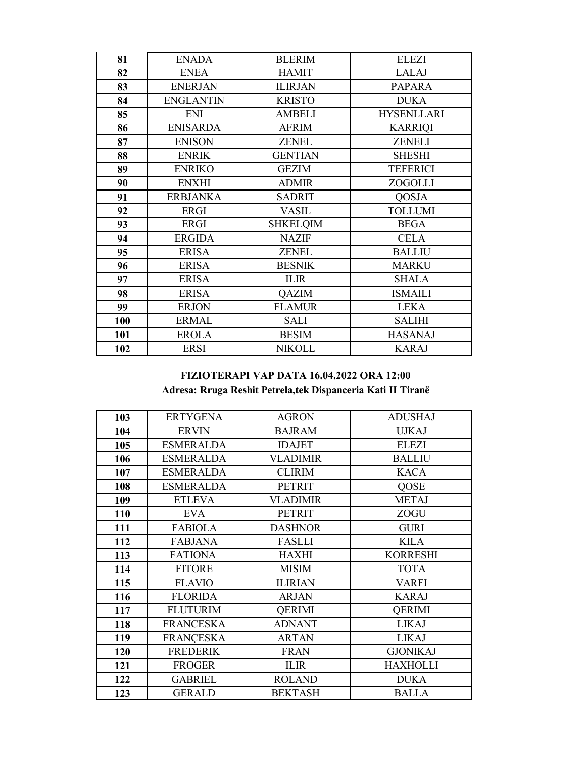| 81  | <b>ENADA</b>     | <b>BLERIM</b>   | <b>ELEZI</b>      |
|-----|------------------|-----------------|-------------------|
| 82  | <b>ENEA</b>      | <b>HAMIT</b>    | <b>LALAJ</b>      |
| 83  | <b>ENERJAN</b>   | <b>ILIRJAN</b>  | <b>PAPARA</b>     |
| 84  | <b>ENGLANTIN</b> | <b>KRISTO</b>   | <b>DUKA</b>       |
| 85  | ENI              | <b>AMBELI</b>   | <b>HYSENLLARI</b> |
| 86  | <b>ENISARDA</b>  | <b>AFRIM</b>    | <b>KARRIQI</b>    |
| 87  | <b>ENISON</b>    | <b>ZENEL</b>    | <b>ZENELI</b>     |
| 88  | <b>ENRIK</b>     | <b>GENTIAN</b>  | <b>SHESHI</b>     |
| 89  | <b>ENRIKO</b>    | <b>GEZIM</b>    | <b>TEFERICI</b>   |
| 90  | <b>ENXHI</b>     | <b>ADMIR</b>    | ZOGOLLI           |
| 91  | <b>ERBJANKA</b>  | <b>SADRIT</b>   | <b>QOSJA</b>      |
| 92  | <b>ERGI</b>      | <b>VASIL</b>    | <b>TOLLUMI</b>    |
| 93  | ERGI             | <b>SHKELQIM</b> | <b>BEGA</b>       |
| 94  | <b>ERGIDA</b>    | <b>NAZIF</b>    | <b>CELA</b>       |
| 95  | <b>ERISA</b>     | <b>ZENEL</b>    | <b>BALLIU</b>     |
| 96  | <b>ERISA</b>     | <b>BESNIK</b>   | <b>MARKU</b>      |
| 97  | <b>ERISA</b>     | <b>ILIR</b>     | <b>SHALA</b>      |
| 98  | <b>ERISA</b>     | QAZIM           | <b>ISMAILI</b>    |
| 99  | <b>ERJON</b>     | <b>FLAMUR</b>   | <b>LEKA</b>       |
| 100 | <b>ERMAL</b>     | SALI            | <b>SALIHI</b>     |
| 101 | <b>EROLA</b>     | <b>BESIM</b>    | <b>HASANAJ</b>    |
| 102 | <b>ERSI</b>      | <b>NIKOLL</b>   | <b>KARAJ</b>      |

# **FIZIOTERAPI VAP DATA 16.04.2022 ORA 12:00** Adresa: Rruga Reshit Petrela, tek Dispanceria Kati II Tiranë

| 103 | <b>ERTYGENA</b>  | <b>AGRON</b>    | <b>ADUSHAJ</b>  |
|-----|------------------|-----------------|-----------------|
| 104 | <b>ERVIN</b>     | <b>BAJRAM</b>   | <b>UJKAJ</b>    |
| 105 | <b>ESMERALDA</b> | <b>IDAJET</b>   | <b>ELEZI</b>    |
| 106 | <b>ESMERALDA</b> | <b>VLADIMIR</b> | <b>BALLIU</b>   |
| 107 | <b>ESMERALDA</b> | <b>CLIRIM</b>   | <b>KACA</b>     |
| 108 | <b>ESMERALDA</b> | <b>PETRIT</b>   | <b>QOSE</b>     |
| 109 | <b>ETLEVA</b>    | <b>VLADIMIR</b> | <b>METAJ</b>    |
| 110 | <b>EVA</b>       | <b>PETRIT</b>   | ZOGU            |
| 111 | <b>FABIOLA</b>   | <b>DASHNOR</b>  | <b>GURI</b>     |
| 112 | <b>FABJANA</b>   | <b>FASLLI</b>   | <b>KILA</b>     |
| 113 | <b>FATIONA</b>   | <b>HAXHI</b>    | <b>KORRESHI</b> |
| 114 | <b>FITORE</b>    | <b>MISIM</b>    | <b>TOTA</b>     |
| 115 | <b>FLAVIO</b>    | <b>ILIRIAN</b>  | <b>VARFI</b>    |
| 116 | <b>FLORIDA</b>   | <b>ARJAN</b>    | <b>KARAJ</b>    |
| 117 | <b>FLUTURIM</b>  | <b>QERIMI</b>   | <b>QERIMI</b>   |
| 118 | <b>FRANCESKA</b> | <b>ADNANT</b>   | <b>LIKAJ</b>    |
| 119 | <b>FRANÇESKA</b> | <b>ARTAN</b>    | <b>LIKAJ</b>    |
| 120 | <b>FREDERIK</b>  | <b>FRAN</b>     | <b>GJONIKAJ</b> |
| 121 | <b>FROGER</b>    | <b>ILIR</b>     | <b>HAXHOLLI</b> |
| 122 | <b>GABRIEL</b>   | <b>ROLAND</b>   | <b>DUKA</b>     |
| 123 | <b>GERALD</b>    | <b>BEKTASH</b>  | <b>BALLA</b>    |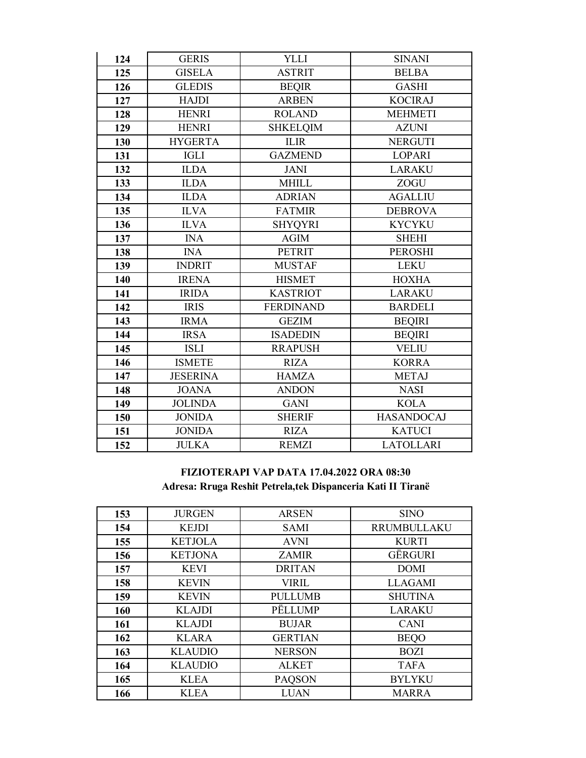| 124 | <b>GERIS</b>    | <b>YLLI</b>      | <b>SINANI</b>     |
|-----|-----------------|------------------|-------------------|
| 125 | <b>GISELA</b>   | <b>ASTRIT</b>    | <b>BELBA</b>      |
| 126 | <b>GLEDIS</b>   | <b>BEQIR</b>     | <b>GASHI</b>      |
| 127 | <b>HAJDI</b>    | <b>ARBEN</b>     | <b>KOCIRAJ</b>    |
| 128 | <b>HENRI</b>    | <b>ROLAND</b>    | <b>MEHMETI</b>    |
| 129 | <b>HENRI</b>    | <b>SHKELQIM</b>  | <b>AZUNI</b>      |
| 130 | <b>HYGERTA</b>  | <b>ILIR</b>      | <b>NERGUTI</b>    |
| 131 | <b>IGLI</b>     | <b>GAZMEND</b>   | <b>LOPARI</b>     |
| 132 | <b>ILDA</b>     | <b>JANI</b>      | <b>LARAKU</b>     |
| 133 | <b>ILDA</b>     | <b>MHILL</b>     | ZOGU              |
| 134 | <b>ILDA</b>     | <b>ADRIAN</b>    | <b>AGALLIU</b>    |
| 135 | <b>ILVA</b>     | <b>FATMIR</b>    | <b>DEBROVA</b>    |
| 136 | <b>ILVA</b>     | <b>SHYQYRI</b>   | <b>KYCYKU</b>     |
| 137 | <b>INA</b>      | <b>AGIM</b>      | <b>SHEHI</b>      |
| 138 | <b>INA</b>      | <b>PETRIT</b>    | <b>PEROSHI</b>    |
| 139 | <b>INDRIT</b>   | <b>MUSTAF</b>    | <b>LEKU</b>       |
| 140 | <b>IRENA</b>    | <b>HISMET</b>    | <b>HOXHA</b>      |
| 141 | <b>IRIDA</b>    | <b>KASTRIOT</b>  | <b>LARAKU</b>     |
| 142 | <b>IRIS</b>     | <b>FERDINAND</b> | <b>BARDELI</b>    |
| 143 | <b>IRMA</b>     | <b>GEZIM</b>     | <b>BEQIRI</b>     |
| 144 | <b>IRSA</b>     | <b>ISADEDIN</b>  | <b>BEQIRI</b>     |
| 145 | <b>ISLI</b>     | <b>RRAPUSH</b>   | <b>VELIU</b>      |
| 146 | <b>ISMETE</b>   | <b>RIZA</b>      | <b>KORRA</b>      |
| 147 | <b>JESERINA</b> | <b>HAMZA</b>     | <b>METAJ</b>      |
| 148 | <b>JOANA</b>    | <b>ANDON</b>     | <b>NASI</b>       |
| 149 | <b>JOLINDA</b>  | <b>GANI</b>      | <b>KOLA</b>       |
| 150 | <b>JONIDA</b>   | <b>SHERIF</b>    | <b>HASANDOCAJ</b> |
| 151 | <b>JONIDA</b>   | <b>RIZA</b>      | <b>KATUCI</b>     |
| 152 | <b>JULKA</b>    | <b>REMZI</b>     | <b>LATOLLARI</b>  |

## **FIZIOTERAPI VAP DATA 17.04.2022 ORA 08:30 Adresa: Rruga Reshit Petrela,tek Dispanceria Kati II Tiranë**

| 153 | <b>JURGEN</b>  | <b>ARSEN</b>   | <b>SINO</b>    |
|-----|----------------|----------------|----------------|
| 154 | <b>KEJDI</b>   | <b>SAMI</b>    | RRUMBULLAKU    |
| 155 | <b>KETJOLA</b> | <b>AVNI</b>    | <b>KURTI</b>   |
| 156 | <b>KETJONA</b> | <b>ZAMIR</b>   | GËRGURI        |
| 157 | <b>KEVI</b>    | <b>DRITAN</b>  | <b>DOMI</b>    |
| 158 | <b>KEVIN</b>   | <b>VIRIL</b>   | <b>LLAGAMI</b> |
| 159 | <b>KEVIN</b>   | <b>PULLUMB</b> | <b>SHUTINA</b> |
| 160 | <b>KLAJDI</b>  | PËLLUMP        | <b>LARAKU</b>  |
| 161 | <b>KLAJDI</b>  | <b>BUJAR</b>   | <b>CANI</b>    |
| 162 | <b>KLARA</b>   | <b>GERTIAN</b> | <b>BEQO</b>    |
| 163 | <b>KLAUDIO</b> | <b>NERSON</b>  | <b>BOZI</b>    |
| 164 | <b>KLAUDIO</b> | <b>ALKET</b>   | <b>TAFA</b>    |
| 165 | <b>KLEA</b>    | <b>PAQSON</b>  | <b>BYLYKU</b>  |
| 166 | <b>KLEA</b>    | <b>LUAN</b>    | <b>MARRA</b>   |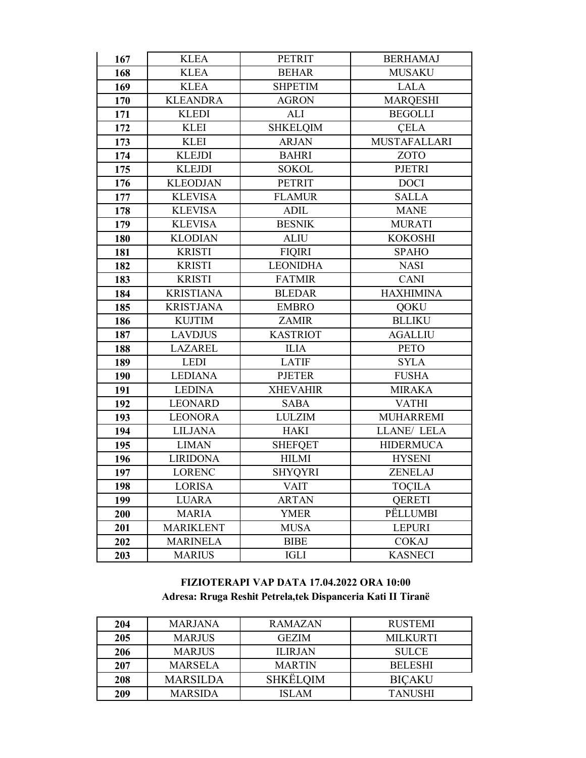| 167 | <b>KLEA</b>      | <b>PETRIT</b>   | <b>BERHAMAJ</b>     |
|-----|------------------|-----------------|---------------------|
| 168 | <b>KLEA</b>      | <b>BEHAR</b>    | <b>MUSAKU</b>       |
| 169 | <b>KLEA</b>      | <b>SHPETIM</b>  | <b>LALA</b>         |
| 170 | <b>KLEANDRA</b>  | <b>AGRON</b>    | <b>MARQESHI</b>     |
| 171 | <b>KLEDI</b>     | ALI             | <b>BEGOLLI</b>      |
| 172 | <b>KLEI</b>      | <b>SHKELQIM</b> | <b>CELA</b>         |
| 173 | <b>KLEI</b>      | <b>ARJAN</b>    | <b>MUSTAFALLARI</b> |
| 174 | <b>KLEJDI</b>    | <b>BAHRI</b>    | ZOTO                |
| 175 | <b>KLEJDI</b>    | <b>SOKOL</b>    | <b>PJETRI</b>       |
| 176 | <b>KLEODJAN</b>  | <b>PETRIT</b>   | <b>DOCI</b>         |
| 177 | <b>KLEVISA</b>   | <b>FLAMUR</b>   | <b>SALLA</b>        |
| 178 | <b>KLEVISA</b>   | <b>ADIL</b>     | <b>MANE</b>         |
| 179 | <b>KLEVISA</b>   | <b>BESNIK</b>   | <b>MURATI</b>       |
| 180 | <b>KLODIAN</b>   | <b>ALIU</b>     | <b>KOKOSHI</b>      |
| 181 | <b>KRISTI</b>    | <b>FIQIRI</b>   | <b>SPAHO</b>        |
| 182 | <b>KRISTI</b>    | <b>LEONIDHA</b> | <b>NASI</b>         |
| 183 | <b>KRISTI</b>    | <b>FATMIR</b>   | <b>CANI</b>         |
| 184 | <b>KRISTIANA</b> | <b>BLEDAR</b>   | <b>HAXHIMINA</b>    |
| 185 | <b>KRISTJANA</b> | <b>EMBRO</b>    | <b>QOKU</b>         |
| 186 | <b>KUJTIM</b>    | <b>ZAMIR</b>    | <b>BLLIKU</b>       |
| 187 | <b>LAVDJUS</b>   | <b>KASTRIOT</b> | <b>AGALLIU</b>      |
| 188 | <b>LAZAREL</b>   | <b>ILIA</b>     | <b>PETO</b>         |
| 189 | <b>LEDI</b>      | <b>LATIF</b>    | <b>SYLA</b>         |
| 190 | <b>LEDIANA</b>   | <b>PJETER</b>   | <b>FUSHA</b>        |
| 191 | <b>LEDINA</b>    | <b>XHEVAHIR</b> | <b>MIRAKA</b>       |
| 192 | <b>LEONARD</b>   | <b>SABA</b>     | <b>VATHI</b>        |
| 193 | <b>LEONORA</b>   | <b>LULZIM</b>   | <b>MUHARREMI</b>    |
| 194 | <b>LILJANA</b>   | <b>HAKI</b>     | LLANE/ LELA         |
| 195 | <b>LIMAN</b>     | <b>SHEFQET</b>  | <b>HIDERMUCA</b>    |
| 196 | <b>LIRIDONA</b>  | <b>HILMI</b>    | <b>HYSENI</b>       |
| 197 | <b>LORENC</b>    | <b>SHYQYRI</b>  | ZENELAJ             |
| 198 | <b>LORISA</b>    | <b>VAIT</b>     | <b>TOÇILA</b>       |
| 199 | <b>LUARA</b>     | <b>ARTAN</b>    | <b>OERETI</b>       |
| 200 | <b>MARIA</b>     | <b>YMER</b>     | PËLLUMBI            |
| 201 | <b>MARIKLENT</b> | <b>MUSA</b>     | <b>LEPURI</b>       |
| 202 | <b>MARINELA</b>  | <b>BIBE</b>     | <b>COKAJ</b>        |
| 203 | <b>MARIUS</b>    | <b>IGLI</b>     | <b>KASNECI</b>      |

## **FIZIOTERAPI VAP DATA 17.04.2022 ORA 10:00 Adresa: Rruga Reshit Petrela,tek Dispanceria Kati II Tiranë**

| 204        | <b>MARJANA</b>  | <b>RAMAZAN</b>  | <b>RUSTEMI</b>  |
|------------|-----------------|-----------------|-----------------|
| <b>205</b> | <b>MARJUS</b>   | <b>GEZIM</b>    | <b>MILKURTI</b> |
| 206        | <b>MARJUS</b>   | <b>ILIRJAN</b>  | <b>SULCE</b>    |
| 207        | <b>MARSELA</b>  | <b>MARTIN</b>   | <b>BELESHI</b>  |
| 208        | <b>MARSILDA</b> | <b>SHKËLQIM</b> | <b>BICAKU</b>   |
| 209        | <b>MARSIDA</b>  | ISLAM           | <b>TANUSHI</b>  |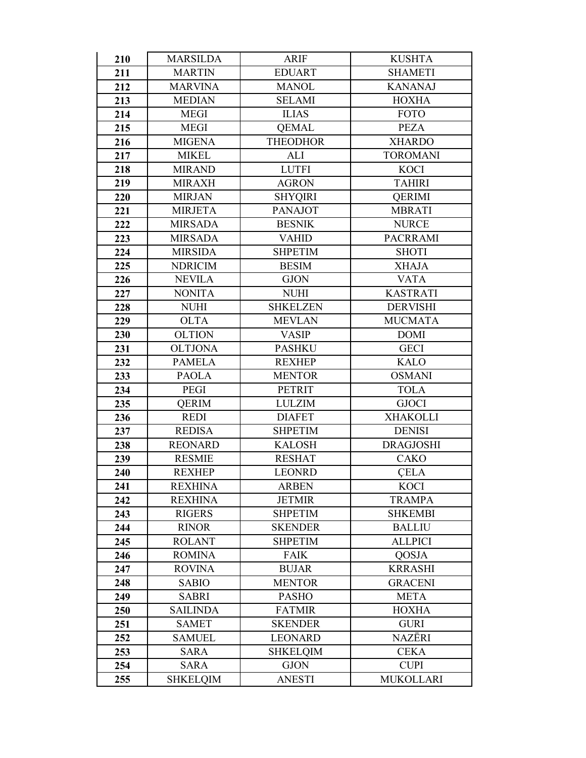| 210 | <b>MARSILDA</b> | <b>ARIF</b>     | <b>KUSHTA</b>    |
|-----|-----------------|-----------------|------------------|
| 211 | <b>MARTIN</b>   | <b>EDUART</b>   | <b>SHAMETI</b>   |
| 212 | <b>MARVINA</b>  | <b>MANOL</b>    | <b>KANANAJ</b>   |
| 213 | <b>MEDIAN</b>   | <b>SELAMI</b>   | <b>HOXHA</b>     |
| 214 | <b>MEGI</b>     | <b>ILIAS</b>    | <b>FOTO</b>      |
| 215 | <b>MEGI</b>     | <b>QEMAL</b>    | <b>PEZA</b>      |
| 216 | <b>MIGENA</b>   | <b>THEODHOR</b> | <b>XHARDO</b>    |
| 217 | <b>MIKEL</b>    | <b>ALI</b>      | <b>TOROMANI</b>  |
| 218 | <b>MIRAND</b>   | <b>LUTFI</b>    | <b>KOCI</b>      |
| 219 | <b>MIRAXH</b>   | <b>AGRON</b>    | <b>TAHIRI</b>    |
| 220 | <b>MIRJAN</b>   | <b>SHYQIRI</b>  | <b>QERIMI</b>    |
| 221 | <b>MIRJETA</b>  | <b>PANAJOT</b>  | <b>MBRATI</b>    |
| 222 | <b>MIRSADA</b>  | <b>BESNIK</b>   | <b>NURCE</b>     |
| 223 | <b>MIRSADA</b>  | <b>VAHID</b>    | <b>PACRRAMI</b>  |
| 224 | <b>MIRSIDA</b>  | <b>SHPETIM</b>  | <b>SHOTI</b>     |
| 225 | <b>NDRICIM</b>  | <b>BESIM</b>    | <b>XHAJA</b>     |
| 226 | <b>NEVILA</b>   | <b>GJON</b>     | <b>VATA</b>      |
| 227 | <b>NONITA</b>   | <b>NUHI</b>     | <b>KASTRATI</b>  |
| 228 | <b>NUHI</b>     | <b>SHKELZEN</b> | <b>DERVISHI</b>  |
| 229 | <b>OLTA</b>     | <b>MEVLAN</b>   | <b>MUCMATA</b>   |
| 230 | <b>OLTION</b>   | <b>VASIP</b>    | <b>DOMI</b>      |
| 231 | <b>OLTJONA</b>  | <b>PASHKU</b>   | <b>GECI</b>      |
| 232 | <b>PAMELA</b>   | <b>REXHEP</b>   | <b>KALO</b>      |
| 233 | <b>PAOLA</b>    | <b>MENTOR</b>   | <b>OSMANI</b>    |
| 234 | <b>PEGI</b>     | <b>PETRIT</b>   | <b>TOLA</b>      |
| 235 | <b>QERIM</b>    | <b>LULZIM</b>   | <b>GJOCI</b>     |
| 236 | <b>REDI</b>     | <b>DIAFET</b>   | <b>XHAKOLLI</b>  |
| 237 | <b>REDISA</b>   | <b>SHPETIM</b>  | <b>DENISI</b>    |
| 238 | <b>REONARD</b>  | <b>KALOSH</b>   | <b>DRAGJOSHI</b> |
| 239 | <b>RESMIE</b>   | <b>RESHAT</b>   | <b>CAKO</b>      |
| 240 | <b>REXHEP</b>   | <b>LEONRD</b>   | <b>CELA</b>      |
| 241 | <b>REXHINA</b>  | <b>ARBEN</b>    | <b>KOCI</b>      |
| 242 | <b>REXHINA</b>  | <b>JETMIR</b>   | <b>TRAMPA</b>    |
| 243 | <b>RIGERS</b>   | <b>SHPETIM</b>  | <b>SHKEMBI</b>   |
| 244 | <b>RINOR</b>    | <b>SKENDER</b>  | <b>BALLIU</b>    |
| 245 | <b>ROLANT</b>   | <b>SHPETIM</b>  | <b>ALLPICI</b>   |
| 246 | <b>ROMINA</b>   | <b>FAIK</b>     | QOSJA            |
| 247 | <b>ROVINA</b>   | <b>BUJAR</b>    | <b>KRRASHI</b>   |
| 248 | <b>SABIO</b>    | <b>MENTOR</b>   | <b>GRACENI</b>   |
| 249 | <b>SABRI</b>    | <b>PASHO</b>    | <b>META</b>      |
| 250 | <b>SAILINDA</b> | <b>FATMIR</b>   | <b>HOXHA</b>     |
| 251 | <b>SAMET</b>    | <b>SKENDER</b>  | <b>GURI</b>      |
| 252 | <b>SAMUEL</b>   | <b>LEONARD</b>  | NAZËRI           |
| 253 | <b>SARA</b>     | <b>SHKELQIM</b> | <b>CEKA</b>      |
| 254 | <b>SARA</b>     | <b>GJON</b>     | <b>CUPI</b>      |
| 255 | <b>SHKELQIM</b> | <b>ANESTI</b>   | <b>MUKOLLARI</b> |